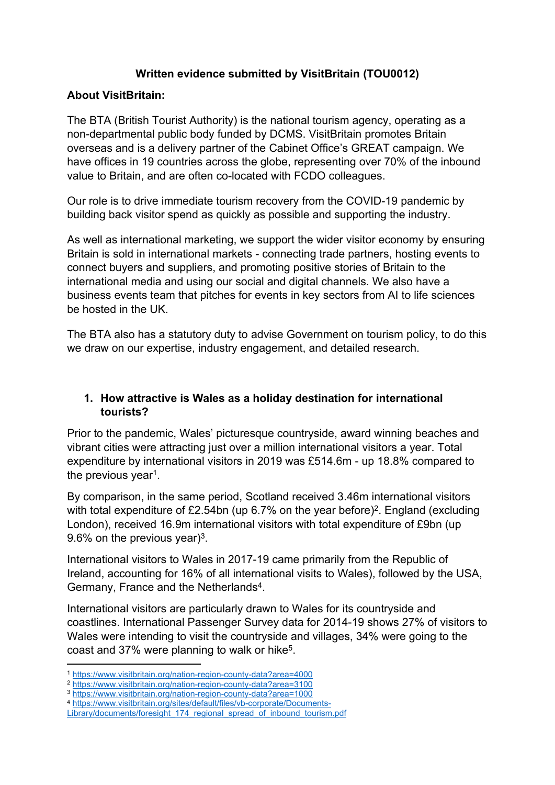# **Written evidence submitted by VisitBritain (TOU0012)**

## **About VisitBritain:**

The BTA (British Tourist Authority) is the national tourism agency, operating as a non-departmental public body funded by DCMS. VisitBritain promotes Britain overseas and is a delivery partner of the Cabinet Office's GREAT campaign. We have offices in 19 countries across the globe, representing over 70% of the inbound value to Britain, and are often co-located with FCDO colleagues.

Our role is to drive immediate tourism recovery from the COVID-19 pandemic by building back visitor spend as quickly as possible and supporting the industry.

As well as international marketing, we support the wider visitor economy by ensuring Britain is sold in international markets - connecting trade partners, hosting events to connect buyers and suppliers, and promoting positive stories of Britain to the international media and using our social and digital channels. We also have a business events team that pitches for events in key sectors from AI to life sciences be hosted in the UK.

The BTA also has a statutory duty to advise Government on tourism policy, to do this we draw on our expertise, industry engagement, and detailed research.

## **1. How attractive is Wales as a holiday destination for international tourists?**

Prior to the pandemic, Wales' picturesque countryside, award winning beaches and vibrant cities were attracting just over a million international visitors a year. Total expenditure by international visitors in 2019 was £514.6m - up 18.8% compared to the previous year<sup>1</sup>.

By comparison, in the same period, Scotland received 3.46m international visitors with total expenditure of £2.54bn (up 6.7% on the year before)<sup>2</sup>. England (excluding London), received 16.9m international visitors with total expenditure of £9bn (up 9.6% on the previous year) $3$ .

International visitors to Wales in 2017-19 came primarily from the Republic of Ireland, accounting for 16% of all international visits to Wales), followed by the USA, Germany, France and the Netherlands<sup>4</sup>.

International visitors are particularly drawn to Wales for its countryside and coastlines. International Passenger Survey data for 2014-19 shows 27% of visitors to Wales were intending to visit the countryside and villages, 34% were going to the coast and 37% were planning to walk or hike<sup>5</sup>.

<sup>1</sup> <https://www.visitbritain.org/nation-region-county-data?area=4000>

<sup>2</sup> <https://www.visitbritain.org/nation-region-county-data?area=3100>

<sup>3</sup> <https://www.visitbritain.org/nation-region-county-data?area=1000>

<sup>4</sup> [https://www.visitbritain.org/sites/default/files/vb-corporate/Documents-](https://www.visitbritain.org/sites/default/files/vb-corporate/Documents-Library/documents/foresight_174_regional_spread_of_inbound_tourism.pdf)

[Library/documents/foresight\\_174\\_regional\\_spread\\_of\\_inbound\\_tourism.pdf](https://www.visitbritain.org/sites/default/files/vb-corporate/Documents-Library/documents/foresight_174_regional_spread_of_inbound_tourism.pdf)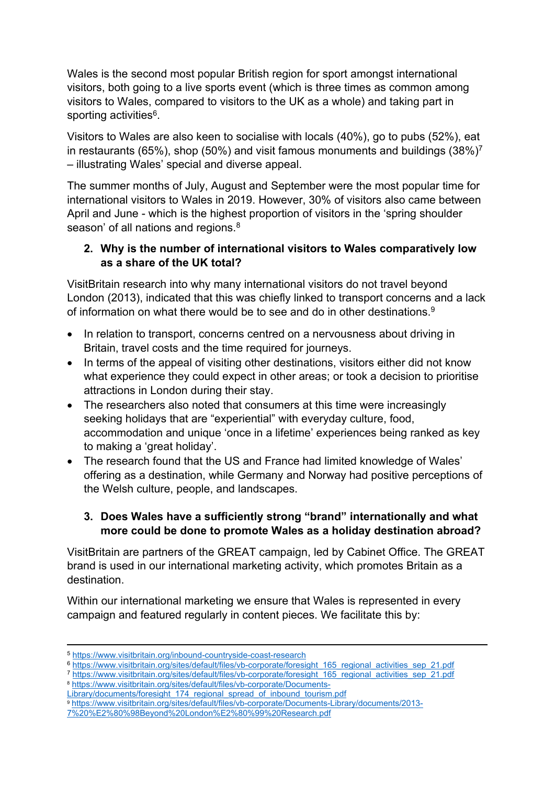Wales is the second most popular British region for sport amongst international visitors, both going to a live sports event (which is three times as common among visitors to Wales, compared to visitors to the UK as a whole) and taking part in sporting activities<sup>6</sup>.

Visitors to Wales are also keen to socialise with locals (40%), go to pubs (52%), eat in restaurants (65%), shop (50%) and visit famous monuments and buildings (38%)<sup>7</sup> – illustrating Wales' special and diverse appeal.

The summer months of July, August and September were the most popular time for international visitors to Wales in 2019. However, 30% of visitors also came between April and June - which is the highest proportion of visitors in the 'spring shoulder season' of all nations and regions.<sup>8</sup>

## **2. Why is the number of international visitors to Wales comparatively low as a share of the UK total?**

VisitBritain research into why many international visitors do not travel beyond London (2013), indicated that this was chiefly linked to transport concerns and a lack of information on what there would be to see and do in other destinations.<sup>9</sup>

- In relation to transport, concerns centred on a nervousness about driving in Britain, travel costs and the time required for journeys.
- In terms of the appeal of visiting other destinations, visitors either did not know what experience they could expect in other areas; or took a decision to prioritise attractions in London during their stay.
- The researchers also noted that consumers at this time were increasingly seeking holidays that are "experiential" with everyday culture, food, accommodation and unique 'once in a lifetime' experiences being ranked as key to making a 'great holiday'.
- The research found that the US and France had limited knowledge of Wales' offering as a destination, while Germany and Norway had positive perceptions of the Welsh culture, people, and landscapes.

# **3. Does Wales have a sufficiently strong "brand" internationally and what more could be done to promote Wales as a holiday destination abroad?**

VisitBritain are partners of the GREAT campaign, led by Cabinet Office. The GREAT brand is used in our international marketing activity, which promotes Britain as a destination.

Within our international marketing we ensure that Wales is represented in every campaign and featured regularly in content pieces. We facilitate this by:

<sup>5</sup> <https://www.visitbritain.org/inbound-countryside-coast-research>

<sup>6</sup> [https://www.visitbritain.org/sites/default/files/vb-corporate/foresight\\_165\\_regional\\_activities\\_sep\\_21.pdf](https://www.visitbritain.org/sites/default/files/vb-corporate/foresight_165_regional_activities_sep_21.pdf)

<sup>7</sup> [https://www.visitbritain.org/sites/default/files/vb-corporate/foresight\\_165\\_regional\\_activities\\_sep\\_21.pdf](https://www.visitbritain.org/sites/default/files/vb-corporate/foresight_165_regional_activities_sep_21.pdf)

<sup>8</sup> [https://www.visitbritain.org/sites/default/files/vb-corporate/Documents-](https://www.visitbritain.org/sites/default/files/vb-corporate/Documents-Library/documents/foresight_174_regional_spread_of_inbound_tourism.pdf)

[Library/documents/foresight\\_174\\_regional\\_spread\\_of\\_inbound\\_tourism.pdf](https://www.visitbritain.org/sites/default/files/vb-corporate/Documents-Library/documents/foresight_174_regional_spread_of_inbound_tourism.pdf)

<sup>9</sup> [https://www.visitbritain.org/sites/default/files/vb-corporate/Documents-Library/documents/2013-](https://www.visitbritain.org/sites/default/files/vb-corporate/Documents-Library/documents/2013-7%20%E2%80%98Beyond%20London%E2%80%99%20Research.pdf)

[<sup>7%20%</sup>E2%80%98Beyond%20London%E2%80%99%20Research.pdf](https://www.visitbritain.org/sites/default/files/vb-corporate/Documents-Library/documents/2013-7%20%E2%80%98Beyond%20London%E2%80%99%20Research.pdf)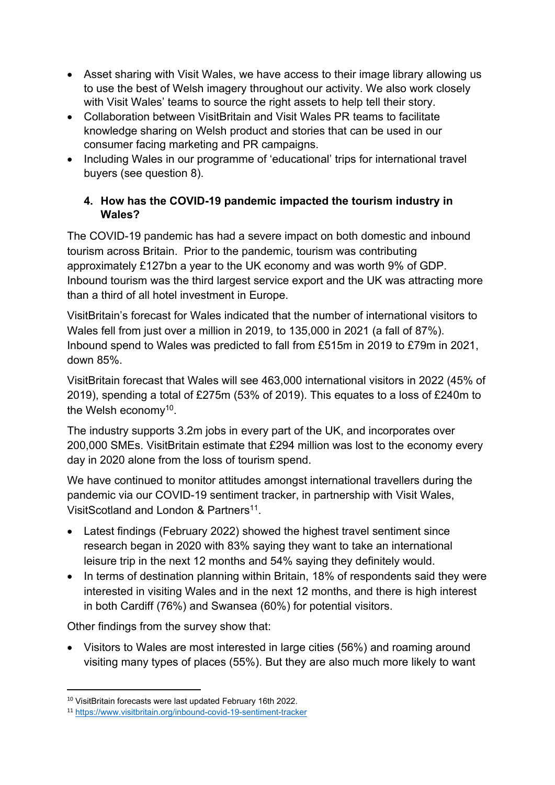- Asset sharing with Visit Wales, we have access to their image library allowing us to use the best of Welsh imagery throughout our activity. We also work closely with Visit Wales' teams to source the right assets to help tell their story.
- Collaboration between VisitBritain and Visit Wales PR teams to facilitate knowledge sharing on Welsh product and stories that can be used in our consumer facing marketing and PR campaigns.
- Including Wales in our programme of 'educational' trips for international travel buyers (see question 8).

# **4. How has the COVID-19 pandemic impacted the tourism industry in Wales?**

The COVID-19 pandemic has had a severe impact on both domestic and inbound tourism across Britain. Prior to the pandemic, tourism was contributing approximately £127bn a year to the UK economy and was worth 9% of GDP. Inbound tourism was the third largest service export and the UK was attracting more than a third of all hotel investment in Europe.

VisitBritain's forecast for Wales indicated that the number of international visitors to Wales fell from just over a million in 2019, to 135,000 in 2021 (a fall of 87%). Inbound spend to Wales was predicted to fall from £515m in 2019 to £79m in 2021, down 85%.

VisitBritain forecast that Wales will see 463,000 international visitors in 2022 (45% of 2019), spending a total of £275m (53% of 2019). This equates to a loss of £240m to the Welsh economy<sup>10</sup>.

The industry supports 3.2m jobs in every part of the UK, and incorporates over 200,000 SMEs. VisitBritain estimate that £294 million was lost to the economy every day in 2020 alone from the loss of tourism spend.

We have continued to monitor attitudes amongst international travellers during the pandemic via our COVID-19 sentiment tracker, in partnership with Visit Wales, VisitScotland and London & Partners<sup>11</sup>.

- Latest findings (February 2022) showed the highest travel sentiment since research began in 2020 with 83% saying they want to take an international leisure trip in the next 12 months and 54% saying they definitely would.
- In terms of destination planning within Britain, 18% of respondents said they were interested in visiting Wales and in the next 12 months, and there is high interest in both Cardiff (76%) and Swansea (60%) for potential visitors.

Other findings from the survey show that:

 Visitors to Wales are most interested in large cities (56%) and roaming around visiting many types of places (55%). But they are also much more likely to want

<sup>10</sup> VisitBritain forecasts were last updated February 16th 2022.

<sup>11</sup> <https://www.visitbritain.org/inbound-covid-19-sentiment-tracker>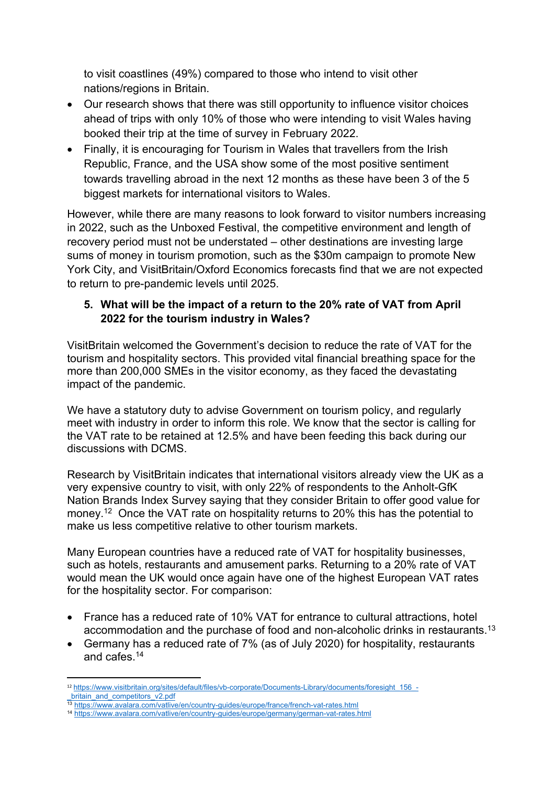to visit coastlines (49%) compared to those who intend to visit other nations/regions in Britain.

- Our research shows that there was still opportunity to influence visitor choices ahead of trips with only 10% of those who were intending to visit Wales having booked their trip at the time of survey in February 2022.
- Finally, it is encouraging for Tourism in Wales that travellers from the Irish Republic, France, and the USA show some of the most positive sentiment towards travelling abroad in the next 12 months as these have been 3 of the 5 biggest markets for international visitors to Wales.

However, while there are many reasons to look forward to visitor numbers increasing in 2022, such as the Unboxed Festival, the competitive environment and length of recovery period must not be understated – other destinations are investing large sums of money in tourism promotion, such as the \$30m campaign to promote New York City, and VisitBritain/Oxford Economics forecasts find that we are not expected to return to pre-pandemic levels until 2025.

# **5. What will be the impact of a return to the 20% rate of VAT from April 2022 for the tourism industry in Wales?**

VisitBritain welcomed the Government's decision to reduce the rate of VAT for the tourism and hospitality sectors. This provided vital financial breathing space for the more than 200,000 SMEs in the visitor economy, as they faced the devastating impact of the pandemic.

We have a statutory duty to advise Government on tourism policy, and regularly meet with industry in order to inform this role. We know that the sector is calling for the VAT rate to be retained at 12.5% and have been feeding this back during our discussions with DCMS.

Research by VisitBritain indicates that international visitors already view the UK as a very expensive country to visit, with only 22% of respondents to the Anholt-GfK Nation Brands Index Survey saying that they consider Britain to offer good value for money.<sup>12</sup> Once the VAT rate on hospitality returns to 20% this has the potential to make us less competitive relative to other tourism markets.

Many European countries have a reduced rate of VAT for hospitality businesses, such as hotels, restaurants and amusement parks. Returning to a 20% rate of VAT would mean the UK would once again have one of the highest European VAT rates for the hospitality sector. For comparison:

- France has a reduced rate of 10% VAT for entrance to cultural attractions, hotel accommodation and the purchase of food and non-alcoholic drinks in restaurants.<sup>13</sup>
- Germany has a reduced rate of 7% (as of July 2020) for hospitality, restaurants and cafes.<sup>14</sup>

<sup>12</sup> [https://www.visitbritain.org/sites/default/files/vb-corporate/Documents-Library/documents/foresight\\_156\\_](https://www.visitbritain.org/sites/default/files/vb-corporate/Documents-Library/documents/foresight_156_-_britain_and_competitors_v2.pdf) britain and competitors v2.pdf

<sup>13</sup> <https://www.avalara.com/vatlive/en/country-guides/europe/france/french-vat-rates.html>

<sup>14</sup> <https://www.avalara.com/vatlive/en/country-guides/europe/germany/german-vat-rates.html>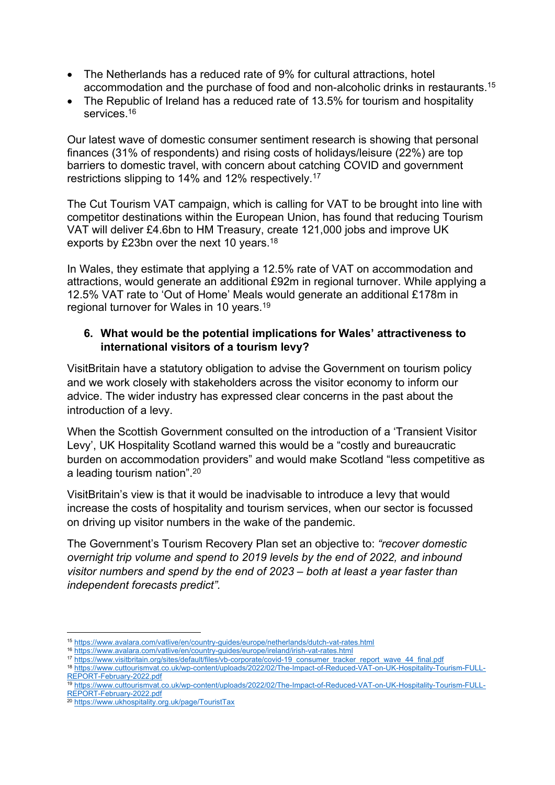- The Netherlands has a reduced rate of 9% for cultural attractions, hotel accommodation and the purchase of food and non-alcoholic drinks in restaurants.<sup>15</sup>
- The Republic of Ireland has a reduced rate of 13.5% for tourism and hospitality services.<sup>16</sup>

Our latest wave of domestic consumer sentiment research is showing that personal finances (31% of respondents) and rising costs of holidays/leisure (22%) are top barriers to domestic travel, with concern about catching COVID and government restrictions slipping to 14% and 12% respectively.<sup>17</sup>

The Cut Tourism VAT campaign, which is calling for VAT to be brought into line with competitor destinations within the European Union, has found that reducing Tourism VAT will deliver £4.6bn to HM Treasury, create 121,000 jobs and improve UK exports by £23bn over the next 10 years.<sup>18</sup>

In Wales, they estimate that applying a 12.5% rate of VAT on accommodation and attractions, would generate an additional £92m in regional turnover. While applying a 12.5% VAT rate to 'Out of Home' Meals would generate an additional £178m in regional turnover for Wales in 10 years.<sup>19</sup>

## **6. What would be the potential implications for Wales' attractiveness to international visitors of a tourism levy?**

VisitBritain have a statutory obligation to advise the Government on tourism policy and we work closely with stakeholders across the visitor economy to inform our advice. The wider industry has expressed clear concerns in the past about the introduction of a levy.

When the Scottish Government consulted on the introduction of a 'Transient Visitor Levy', UK Hospitality Scotland warned this would be a "costly and bureaucratic burden on accommodation providers" and would make Scotland "less competitive as a leading tourism nation".<sup>20</sup>

VisitBritain's view is that it would be inadvisable to introduce a levy that would increase the costs of hospitality and tourism services, when our sector is focussed on driving up visitor numbers in the wake of the pandemic.

The Government's Tourism Recovery Plan set an objective to: *"recover domestic overnight trip volume and spend to 2019 levels by the end of 2022, and inbound visitor numbers and spend by the end of 2023 – both at least a year faster than independent forecasts predict".*

<sup>15</sup> <https://www.avalara.com/vatlive/en/country-guides/europe/netherlands/dutch-vat-rates.html>

<sup>16</sup> <https://www.avalara.com/vatlive/en/country-guides/europe/ireland/irish-vat-rates.html>

<sup>17</sup> [https://www.visitbritain.org/sites/default/files/vb-corporate/covid-19\\_consumer\\_tracker\\_report\\_wave\\_44\\_final.pdf](https://www.visitbritain.org/sites/default/files/vb-corporate/covid-19_consumer_tracker_report_wave_44_final.pdf)

<sup>18</sup> [https://www.cuttourismvat.co.uk/wp-content/uploads/2022/02/The-Impact-of-Reduced-VAT-on-UK-Hospitality-Tourism-FULL-](https://www.cuttourismvat.co.uk/wp-content/uploads/2022/02/The-Impact-of-Reduced-VAT-on-UK-Hospitality-Tourism-FULL-REPORT-February-2022.pdf)[REPORT-February-2022.pdf](https://www.cuttourismvat.co.uk/wp-content/uploads/2022/02/The-Impact-of-Reduced-VAT-on-UK-Hospitality-Tourism-FULL-REPORT-February-2022.pdf)

<sup>19</sup> [https://www.cuttourismvat.co.uk/wp-content/uploads/2022/02/The-Impact-of-Reduced-VAT-on-UK-Hospitality-Tourism-FULL-](https://www.cuttourismvat.co.uk/wp-content/uploads/2022/02/The-Impact-of-Reduced-VAT-on-UK-Hospitality-Tourism-FULL-REPORT-February-2022.pdf)[REPORT-February-2022.pdf](https://www.cuttourismvat.co.uk/wp-content/uploads/2022/02/The-Impact-of-Reduced-VAT-on-UK-Hospitality-Tourism-FULL-REPORT-February-2022.pdf)

<sup>20</sup> <https://www.ukhospitality.org.uk/page/TouristTax>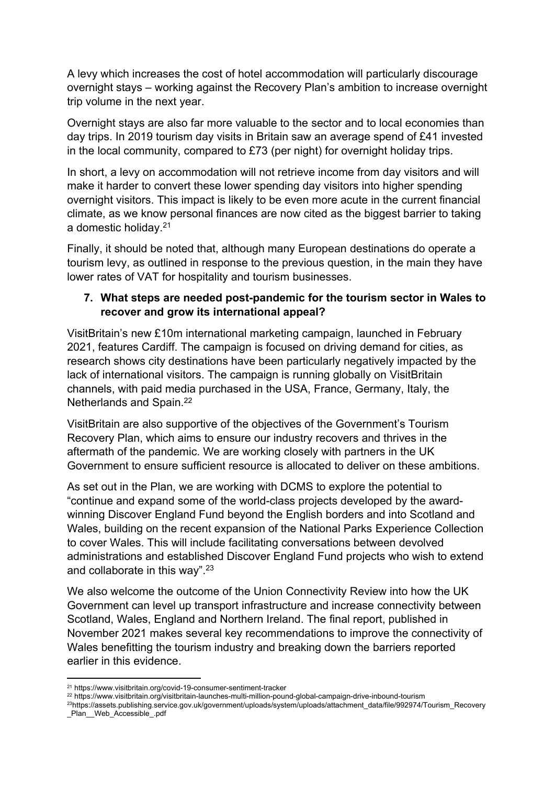A levy which increases the cost of hotel accommodation will particularly discourage overnight stays – working against the Recovery Plan's ambition to increase overnight trip volume in the next year.

Overnight stays are also far more valuable to the sector and to local economies than day trips. In 2019 tourism day visits in Britain saw an average spend of £41 invested in the local community, compared to £73 (per night) for overnight holiday trips.

In short, a levy on accommodation will not retrieve income from day visitors and will make it harder to convert these lower spending day visitors into higher spending overnight visitors. This impact is likely to be even more acute in the current financial climate, as we know personal finances are now cited as the biggest barrier to taking a domestic holiday.<sup>21</sup>

Finally, it should be noted that, although many European destinations do operate a tourism levy, as outlined in response to the previous question, in the main they have lower rates of VAT for hospitality and tourism businesses.

#### **7. What steps are needed post-pandemic for the tourism sector in Wales to recover and grow its international appeal?**

VisitBritain's new £10m international marketing campaign, launched in February 2021, features Cardiff. The campaign is focused on driving demand for cities, as research shows city destinations have been particularly negatively impacted by the lack of international visitors. The campaign is running globally on VisitBritain channels, with paid media purchased in the USA, France, Germany, Italy, the Netherlands and Spain.<sup>22</sup>

VisitBritain are also supportive of the objectives of the Government's Tourism Recovery Plan, which aims to ensure our industry recovers and thrives in the aftermath of the pandemic. We are working closely with partners in the UK Government to ensure sufficient resource is allocated to deliver on these ambitions.

As set out in the Plan, we are working with DCMS to explore the potential to "continue and expand some of the world-class projects developed by the awardwinning Discover England Fund beyond the English borders and into Scotland and Wales, building on the recent expansion of the National Parks Experience Collection to cover Wales. This will include facilitating conversations between devolved administrations and established Discover England Fund projects who wish to extend and collaborate in this way".<sup>23</sup>

We also welcome the outcome of the Union Connectivity Review into how the UK Government can level up transport infrastructure and increase connectivity between Scotland, Wales, England and Northern Ireland. The final report, published in November 2021 makes several key recommendations to improve the connectivity of Wales benefitting the tourism industry and breaking down the barriers reported earlier in this evidence.

<sup>21</sup> https://www.visitbritain.org/covid-19-consumer-sentiment-tracker

<sup>22</sup> https://www.visitbritain.org/visitbritain-launches-multi-million-pound-global-campaign-drive-inbound-tourism

<sup>23</sup>https://assets.publishing.service.gov.uk/government/uploads/system/uploads/attachment\_data/file/992974/Tourism\_Recovery Plan Web Accessible .pdf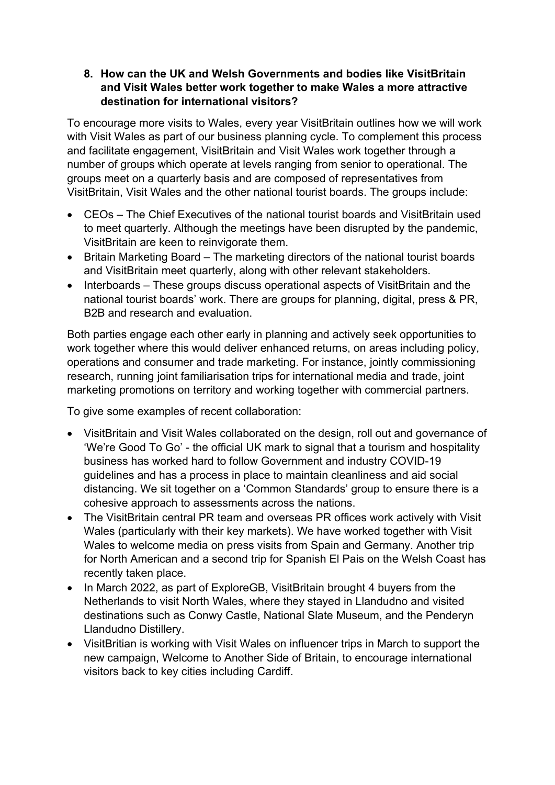## **8. How can the UK and Welsh Governments and bodies like VisitBritain and Visit Wales better work together to make Wales a more attractive destination for international visitors?**

To encourage more visits to Wales, every year VisitBritain outlines how we will work with Visit Wales as part of our business planning cycle. To complement this process and facilitate engagement, VisitBritain and Visit Wales work together through a number of groups which operate at levels ranging from senior to operational. The groups meet on a quarterly basis and are composed of representatives from VisitBritain, Visit Wales and the other national tourist boards. The groups include:

- CEOs The Chief Executives of the national tourist boards and VisitBritain used to meet quarterly. Although the meetings have been disrupted by the pandemic, VisitBritain are keen to reinvigorate them.
- Britain Marketing Board The marketing directors of the national tourist boards and VisitBritain meet quarterly, along with other relevant stakeholders.
- Interboards These groups discuss operational aspects of VisitBritain and the national tourist boards' work. There are groups for planning, digital, press & PR, B2B and research and evaluation.

Both parties engage each other early in planning and actively seek opportunities to work together where this would deliver enhanced returns, on areas including policy, operations and consumer and trade marketing. For instance, jointly commissioning research, running joint familiarisation trips for international media and trade, joint marketing promotions on territory and working together with commercial partners.

To give some examples of recent collaboration:

- VisitBritain and Visit Wales collaborated on the design, roll out and governance of 'We're Good To Go' - the official UK mark to signal that a tourism and hospitality business has worked hard to follow Government and industry COVID-19 guidelines and has a process in place to maintain cleanliness and aid social distancing. We sit together on a 'Common Standards' group to ensure there is a cohesive approach to assessments across the nations.
- The VisitBritain central PR team and overseas PR offices work actively with Visit Wales (particularly with their key markets). We have worked together with Visit Wales to welcome media on press visits from Spain and Germany. Another trip for North American and a second trip for Spanish El Pais on the Welsh Coast has recently taken place.
- In March 2022, as part of ExploreGB, VisitBritain brought 4 buyers from the Netherlands to visit North Wales, where they stayed in Llandudno and visited destinations such as Conwy Castle, National Slate Museum, and the Penderyn Llandudno Distillery.
- VisitBritian is working with Visit Wales on influencer trips in March to support the new campaign, Welcome to Another Side of Britain, to encourage international visitors back to key cities including Cardiff.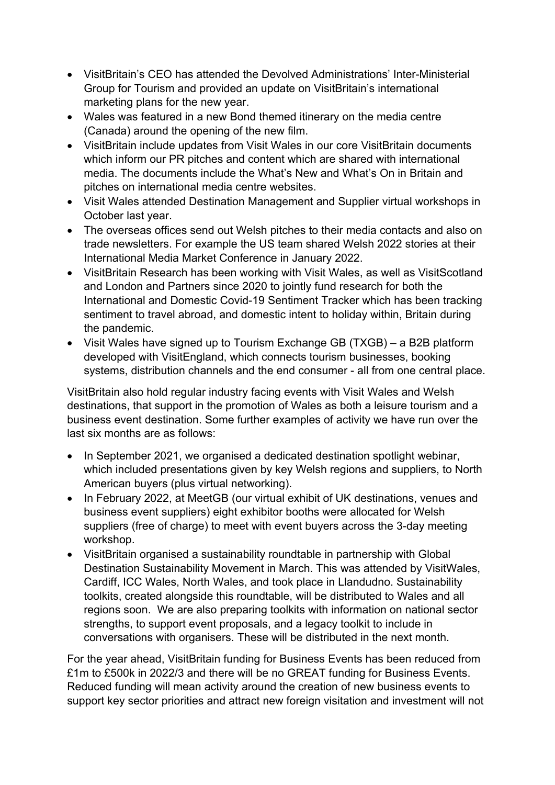- VisitBritain's CEO has attended the Devolved Administrations' Inter-Ministerial Group for Tourism and provided an update on VisitBritain's international marketing plans for the new year.
- Wales was featured in a new Bond themed itinerary on the media centre (Canada) around the opening of the new film.
- VisitBritain include updates from Visit Wales in our core VisitBritain documents which inform our PR pitches and content which are shared with international media. The documents include the What's New and What's On in Britain and pitches on international media centre websites.
- Visit Wales attended Destination Management and Supplier virtual workshops in October last year.
- The overseas offices send out Welsh pitches to their media contacts and also on trade newsletters. For example the US team shared Welsh 2022 stories at their International Media Market Conference in January 2022.
- VisitBritain Research has been working with Visit Wales, as well as VisitScotland and London and Partners since 2020 to jointly fund research for both the International and Domestic Covid-19 Sentiment Tracker which has been tracking sentiment to travel abroad, and domestic intent to holiday within, Britain during the pandemic.
- Visit Wales have signed up to Tourism Exchange GB (TXGB) a B2B platform developed with VisitEngland, which connects tourism businesses, booking systems, distribution channels and the end consumer - all from one central place.

VisitBritain also hold regular industry facing events with Visit Wales and Welsh destinations, that support in the promotion of Wales as both a leisure tourism and a business event destination. Some further examples of activity we have run over the last six months are as follows:

- In September 2021, we organised a dedicated destination spotlight webinar, which included presentations given by key Welsh regions and suppliers, to North American buyers (plus virtual networking).
- In February 2022, at MeetGB (our virtual exhibit of UK destinations, venues and business event suppliers) eight exhibitor booths were allocated for Welsh suppliers (free of charge) to meet with event buyers across the 3-day meeting workshop.
- VisitBritain organised a sustainability roundtable in partnership with Global Destination Sustainability Movement in March. This was attended by VisitWales, Cardiff, ICC Wales, North Wales, and took place in Llandudno. Sustainability toolkits, created alongside this roundtable, will be distributed to Wales and all regions soon. We are also preparing toolkits with information on national sector strengths, to support event proposals, and a legacy toolkit to include in conversations with organisers. These will be distributed in the next month.

For the year ahead, VisitBritain funding for Business Events has been reduced from £1m to £500k in 2022/3 and there will be no GREAT funding for Business Events. Reduced funding will mean activity around the creation of new business events to support key sector priorities and attract new foreign visitation and investment will not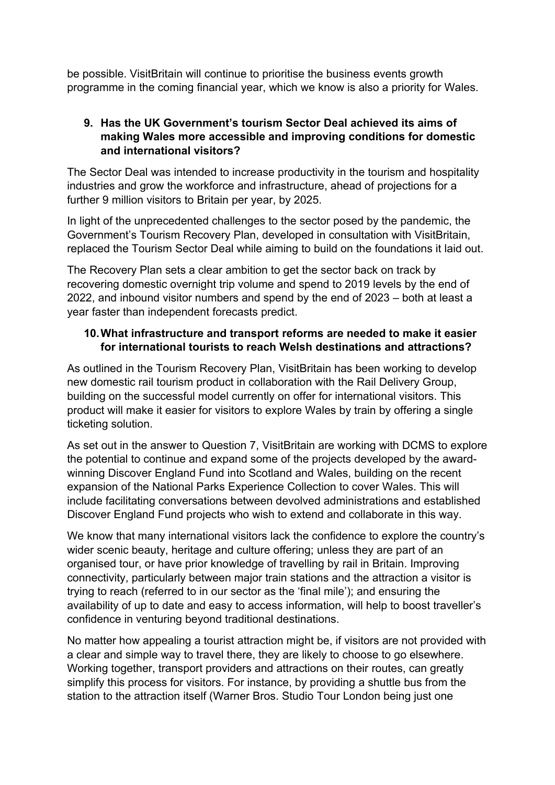be possible. VisitBritain will continue to prioritise the business events growth programme in the coming financial year, which we know is also a priority for Wales.

## **9. Has the UK Government's tourism Sector Deal achieved its aims of making Wales more accessible and improving conditions for domestic and international visitors?**

The Sector Deal was intended to increase productivity in the tourism and hospitality industries and grow the workforce and infrastructure, ahead of projections for a further 9 million visitors to Britain per year, by 2025.

In light of the unprecedented challenges to the sector posed by the pandemic, the Government's Tourism Recovery Plan, developed in consultation with VisitBritain, replaced the Tourism Sector Deal while aiming to build on the foundations it laid out.

The Recovery Plan sets a clear ambition to get the sector back on track by recovering domestic overnight trip volume and spend to 2019 levels by the end of 2022, and inbound visitor numbers and spend by the end of 2023 – both at least a year faster than independent forecasts predict.

# **10.What infrastructure and transport reforms are needed to make it easier for international tourists to reach Welsh destinations and attractions?**

As outlined in the Tourism Recovery Plan, VisitBritain has been working to develop new domestic rail tourism product in collaboration with the Rail Delivery Group, building on the successful model currently on offer for international visitors. This product will make it easier for visitors to explore Wales by train by offering a single ticketing solution.

As set out in the answer to Question 7, VisitBritain are working with DCMS to explore the potential to continue and expand some of the projects developed by the awardwinning Discover England Fund into Scotland and Wales, building on the recent expansion of the National Parks Experience Collection to cover Wales. This will include facilitating conversations between devolved administrations and established Discover England Fund projects who wish to extend and collaborate in this way.

We know that many international visitors lack the confidence to explore the country's wider scenic beauty, heritage and culture offering; unless they are part of an organised tour, or have prior knowledge of travelling by rail in Britain. Improving connectivity, particularly between major train stations and the attraction a visitor is trying to reach (referred to in our sector as the 'final mile'); and ensuring the availability of up to date and easy to access information, will help to boost traveller's confidence in venturing beyond traditional destinations.

No matter how appealing a tourist attraction might be, if visitors are not provided with a clear and simple way to travel there, they are likely to choose to go elsewhere. Working together, transport providers and attractions on their routes, can greatly simplify this process for visitors. For instance, by providing a shuttle bus from the station to the attraction itself (Warner Bros. Studio Tour London being just one